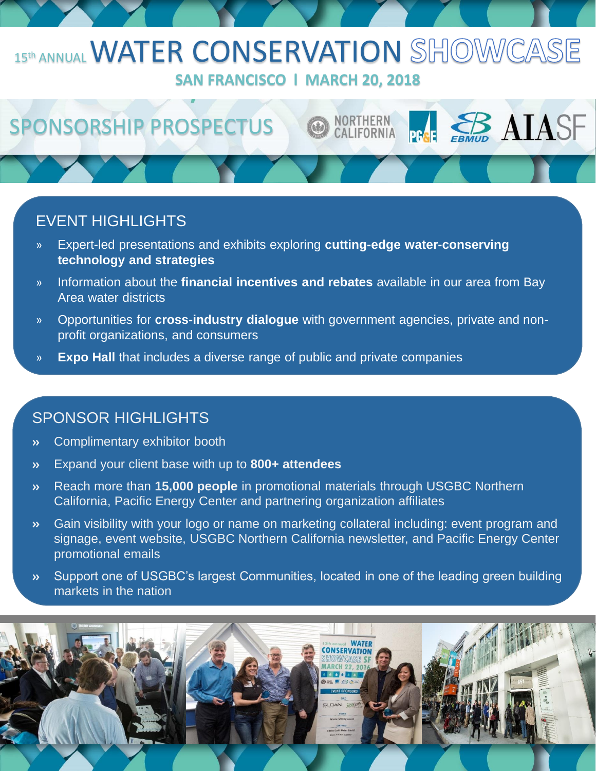## 15th ANNUAL WATER CONSERVATION SHOWCASE **SAN FRANCISCO l MARCH 20, 2018**

**NORTHERN** CALIFORNIA **ER AIASF** 

# SPONSORSHIP PROSPECTUS

### EVENT HIGHLIGHTS

- » Expert-led presentations and exhibits exploring **cutting-edge water-conserving technology and strategies**
- » Information about the **financial incentives and rebates** available in our area from Bay Area water districts
- » Opportunities for **cross-industry dialogue** with government agencies, private and nonprofit organizations, and consumers
- » **Expo Hall** that includes a diverse range of public and private companies

#### SPONSOR HIGHLIGHTS

- Complimentary exhibitor booth  $\lambda$
- Expand your client base with up to **800+ attendees**  $\mathbf{v}$
- Reach more than **15,000 people** in promotional materials through USGBC Northern  $\lambda$ California, Pacific Energy Center and partnering organization affiliates
- Gain visibility with your logo or name on marketing collateral including: event program and  $\lambda$ signage, event website, USGBC Northern California newsletter, and Pacific Energy Center promotional emails
- Support one of USGBC's largest Communities, located in one of the leading green building  $\mathbf{v}$ markets in the nation